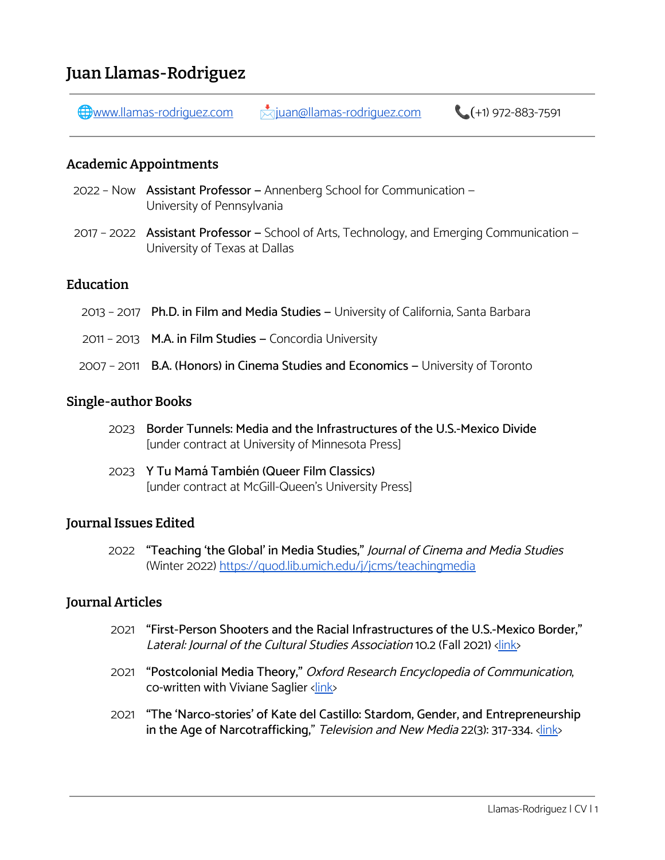# **Juan Llamas-Rodriguez**

[www.llamas-rodriguez.com](http://www.llamas-rodriguez.com)  $\frac{1}{2}$ [juan@llamas-rodriguez.com](mailto:juan@llamas-rodriguez.com) (+1) 972-883-7591

### **Academic Appointments**

- 2022 Now Assistant Professor Annenberg School for Communication University of Pennsylvania
- 2017 2022 Assistant Professor School of Arts, Technology, and Emerging Communication University of Texas at Dallas

### **Education**

- 2013 2017 Ph.D. in Film and Media Studies University of California, Santa Barbara
- 2011 2013 M.A. in Film Studies Concordia University
- 2007 2011 B.A. (Honors) in Cinema Studies and Economics University of Toronto

### **Single-author Books**

- 2023 Border Tunnels: Media and the Infrastructures of the U.S.-Mexico Divide [under contract at University of Minnesota Press]
- 2023 Y Tu Mamá También (Queer Film Classics) [under contract at McGill-Queen's University Press]

### **Journal Issues Edited**

2022 "Teaching 'the Global' in Media Studies," Journal of Cinema and Media Studies (Winter 2022) <https://quod.lib.umich.edu/j/jcms/teachingmedia>

### **Journal Articles**

- 2021 "First-Person Shooters and the Racial Infrastructures of the U.S.-Mexico Border," Lateral: Journal of the Cultural Studies Association 10.2 (Fall 2021) [<link>](https://csalateral.org/issue/10-2/first-person-shooters-tunnel-warfare-racial-infrastructures-us-mexico-border-llamas-rodriguez/)
- 2021 "Postcolonial Media Theory," Oxford Research Encyclopedia of Communication, co-written with Viviane Saglier [<link>](https://doi.org/10.1093/acrefore/9780190228613.013.1065)
- 2021 "The 'Narco-stories' of Kate del Castillo: Stardom, Gender, and Entrepreneurship in the Age of Narcotrafficking," Television and New Media 22(3): 317-334. [<link>](https://doi.org/10.1177%2F1527476419877548)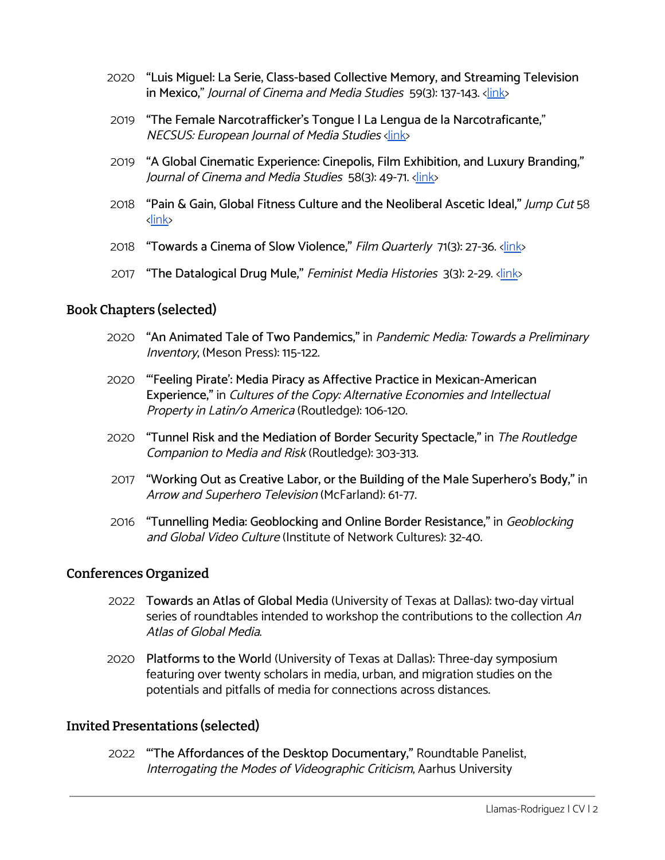- 2020 "Luis Miguel: La Serie, Class-based Collective Memory, and Streaming Television in Mexico," Journal of Cinema and Media Studies 59(3): 137-143. <[link](https://doi.org/10.1353/cj.2020.0035)>
- 2019 "The Female Narcotrafficker's Tongue | La Lengua de la Narcotraficante," NECSUS: European Journal of Media Studies [<link>](https://necsus-ejms.org/the-female-narcotraffickers-tongue-la-lengua-de-la-narcotraficante/)
- 2019 "A Global Cinematic Experience: Cinepolis, Film Exhibition, and Luxury Branding," Journal of Cinema and Media Studies 58(3): 49-71. [<link>](https://doi.org/10.1353/cj.2019.0022)
- 2018 "Pain & Gain, Global Fitness Culture and the Neoliberal Ascetic Ideal," Jump Cut 58 <[link](https://www.ejumpcut.org/archive/jc58.2018/llamas-fitness/index.html)>
- 2018 "Towards a Cinema of Slow Violence," Film Quarterly 71(3): 27-36. <[link](https://doi.org/10.1525/fq.2018.71.3.27)>
- 2017 "The Datalogical Drug Mule," Feminist Media Histories 3(3): 2-29. <

# **Book Chapters (selected)**

- 2020 "An Animated Tale of Two Pandemics," in Pandemic Media: Towards a Preliminary Inventory, (Meson Press): 115-122.
- 2020 "'Feeling Pirate': Media Piracy as Affective Practice in Mexican-American Experience," in Cultures of the Copy: Alternative Economies and Intellectual Property in Latin/o America (Routledge): 106-120.
- 2020 "Tunnel Risk and the Mediation of Border Security Spectacle," in The Routledge Companion to Media and Risk (Routledge): 303-313.
- 2017 "Working Out as Creative Labor, or the Building of the Male Superhero's Body," in Arrow and Superhero Television (McFarland): 61-77.
- 2016 "Tunnelling Media: Geoblocking and Online Border Resistance," in Geoblocking and Global Video Culture (Institute of Network Cultures): 32-40.

### **Conferences Organized**

- 2022 Towards an Atlas of Global Media (University of Texas at Dallas): two-day virtual series of roundtables intended to workshop the contributions to the collection An Atlas of Global Media.
- 2020 Platforms to the World (University of Texas at Dallas): Three-day symposium featuring over twenty scholars in media, urban, and migration studies on the potentials and pitfalls of media for connections across distances.

# **Invited Presentations (selected)**

2022 "'The Affordances of the Desktop Documentary," Roundtable Panelist, Interrogating the Modes of Videographic Criticism, Aarhus University